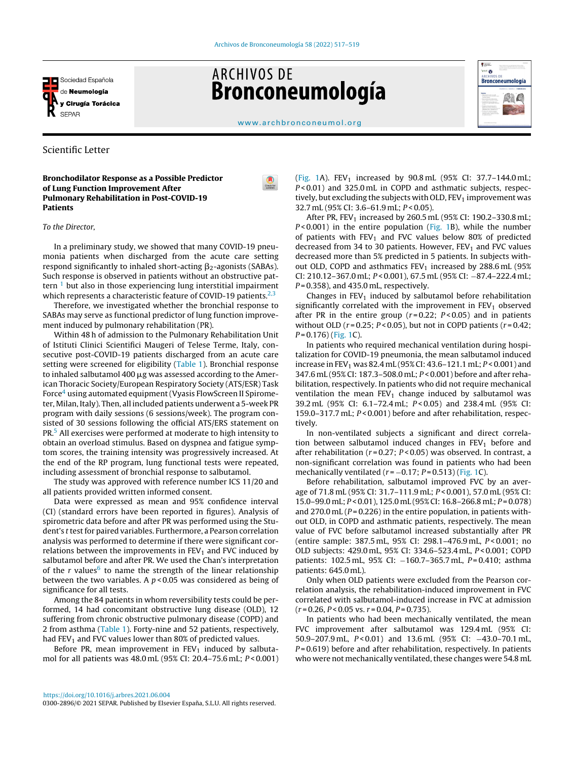

# **ARCHIVOS DE Bronconeumología**



[www.archbronconeumol.org](http://www.archbronconeumol.org)

## Scientific Letter

Bronchodilator Response as a Possible Predictor of Lung Function Improvement After Pulmonary Rehabilitation in Post-COVID-19 Patients

#### To the Director,

In a preliminary study, we showed that many COVID-19 pneumonia patients when discharged from the acute care setting respond significantly to inhaled short-acting  $\beta_2$ -agonists (SABAs). Such response is observed in patients without an obstructive pattern  $1$  but also in those experiencing lung interstitial impairment which represents a characteristic feature of COVID-19 patients. $2,3$ 

Therefore, we investigated whether the bronchial response to SABAs may serve as functional predictor of lung function improvement induced by pulmonary rehabilitation (PR).

Within 48 h of admission to the Pulmonary Rehabilitation Unit of Istituti Clinici Scientifici Maugeri of Telese Terme, Italy, consecutive post-COVID-19 patients discharged from an acute care setting were screened for eligibility ([Table](#page-1-0) 1). Bronchial response to inhaled salbutamol  $400 \mu$ g was assessed according to the American Thoracic Society/European Respiratory Society (ATS/ESR) Task Force<s[u](#page-2-0)p>4</sup> using automated equipment (Vyasis FlowScreen II Spirometer, Milan, Italy). Then, all included patients underwent a 5-week PR program with daily sessions (6 sessions/week). The program consisted of 30 sessions following the official ATS/ERS statement on PR.[5](#page-2-0) All exercises were performed at moderate to high intensity to obtain an overload stimulus. Based on dyspnea and fatigue symptom scores, the training intensity was progressively increased. At the end of the RP program, lung functional tests were repeated, including assessment of bronchial response to salbutamol.

The study was approved with reference number ICS 11/20 and all patients provided written informed consent.

Data were expressed as mean and 95% confidence interval (CI) (standard errors have been reported in figures). Analysis of spirometric data before and after PR was performed using the Student's t test for paired variables. Furthermore, a Pearson correlation analysis was performed to determine if there were significant correlations between the improvements in  $FEV<sub>1</sub>$  and FVC induced by salbutamol before and after PR. We used the Chan's interpretation of the r values<sup>[6](#page-2-0)</sup> to name the strength of the linear relationship between the two variables. A  $p$  < 0.05 was considered as being of significance for all tests.

Among the 84 patients in whom reversibility tests could be performed, 14 had concomitant obstructive lung disease (OLD), 12 suffering from chronic obstructive pulmonary disease (COPD) and 2 from asthma ([Table](#page-1-0) 1). Forty-nine and 52 patients, respectively, had FEV<sub>1</sub> and FVC values lower than 80% of predicted values.

Before PR, mean improvement in  $FEV<sub>1</sub>$  induced by salbutamol for all patients was 48.0 mL (95% CI: 20.4–75.6 mL; P < 0.001) ([Fig.](#page-1-0) 1A). FEV<sub>1</sub> increased by  $90.8$  mL ( $95\%$  CI:  $37.7-144.0$  mL; P < 0.01) and 325.0 mL in COPD and asthmatic subjects, respectively, but excluding the subjects with OLD,  $FEV<sub>1</sub>$  improvement was 32.7 mL (95% CI: 3.6-61.9 mL;  $P < 0.05$ ).

After PR, FEV<sub>1</sub> increased by 260.5 mL (95% CI: 190.2-330.8 mL;  $P < 0.001$ ) in the entire population ([Fig.](#page-1-0) 1B), while the number of patients with  $FEV_1$  and FVC values below 80% of predicted decreased from 34 to 30 patients. However,  $FEV<sub>1</sub>$  and FVC values decreased more than 5% predicted in 5 patients. In subjects without OLD, COPD and asthmatics  $FEV<sub>1</sub>$  increased by 288.6 mL (95%) CI: 210.12–367.0 mL; P < 0.001), 67.5 mL (95% CI: −87.4–222.4 mL;  $P = 0.358$ ), and 435.0 mL, respectively.

Changes in  $FEV<sub>1</sub>$  induced by salbutamol before rehabilitation significantly correlated with the improvement in  $FEV<sub>1</sub>$  observed after PR in the entire group  $(r=0.22; P<0.05)$  and in patients without OLD ( $r = 0.25$ ;  $P < 0.05$ ), but not in COPD patients ( $r = 0.42$ ;  $P = 0.176$ ) ([Fig.](#page-1-0) 1C).

In patients who required mechanical ventilation during hospitalization for COVID-19 pneumonia, the mean salbutamol induced increase in FEV<sub>1</sub> was 82.4 mL (95% CI: 43.6–121.1 mL;  $P < 0.001$ ) and 347.6 mL (95% CI: 187.3–508.0 mL; P < 0.001) before and after rehabilitation, respectively. In patients who did not require mechanical ventilation the mean  $FEV_1$  change induced by salbutamol was 39.2 mL (95% CI: 6.1–72.4 mL; P < 0.05) and 238.4 mL (95% CI: 159.0–317.7 mL;  $P < 0.001$ ) before and after rehabilitation, respectively.

In non-ventilated subjects a significant and direct correlation between salbutamol induced changes in  $FEV<sub>1</sub>$  before and after rehabilitation ( $r = 0.27$ ;  $P < 0.05$ ) was observed. In contrast, a non-significant correlation was found in patients who had been mechanically ventilated ( $r = -0.17$ ;  $P = 0.513$ ) [\(Fig.](#page-1-0) 1C).

Before rehabilitation, salbutamol improved FVC by an average of 71.8 mL (95% CI: 31.7–111.9 mL; P < 0.001), 57.0 mL (95% CI: 15.0–99.0 mL; P < 0.01), 125.0 mL (95% CI: 16.8–266.8 mL; P = 0.078) and  $270.0$  mL ( $P = 0.226$ ) in the entire population, in patients without OLD, in COPD and asthmatic patients, respectively. The mean value of FVC before salbutamol increased substantially after PR (entire sample: 387.5 mL, 95% CI: 298.1-476.9 mL, P<0.001; no OLD subjects: 429.0 mL, 95% CI: 334.6–523.4 mL, P < 0.001; COPD patients: 102.5 mL, 95% CI: −160.7-365.7 mL, P=0.410; asthma patients: 645.0 mL).

Only when OLD patients were excluded from the Pearson correlation analysis, the rehabilitation-induced improvement in FVC correlated with salbutamol-induced increase in FVC at admission  $(r = 0.26, P < 0.05 \text{ vs. } r = 0.04, P = 0.735).$ 

In patients who had been mechanically ventilated, the mean FVC improvement after salbutamol was 129.4 mL (95% CI: 50.9–207.9 mL, P < 0.01) and 13.6 mL (95% CI: −43.0–70.1 mL,  $P = 0.619$ ) before and after rehabilitation, respectively. In patients who were not mechanically ventilated, these changes were 54.8 mL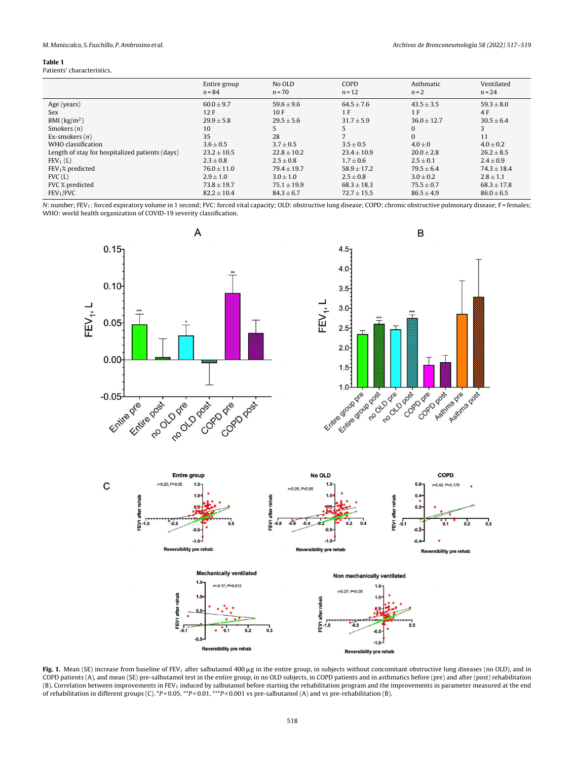#### <span id="page-1-0"></span>Table 1

Patients' characteristics.

|                                                 | Entire group<br>$n = 84$ | No OLD<br>$n = 70$ | COPD<br>$n = 12$ | Asthmatic<br>$n = 2$ | Ventilated<br>$n = 24$ |
|-------------------------------------------------|--------------------------|--------------------|------------------|----------------------|------------------------|
| Age (years)                                     | $60.0 \pm 9.7$           | $59.6 \pm 9.6$     | $64.5 \pm 7.6$   | $43.5 \pm 3.5$       | $59.3 \pm 8.0$         |
| Sex                                             | 12F                      | 10F                | 1 F              | 1 F                  | 4 F                    |
| BMI $(kg/m2)$                                   | $29.9 \pm 5.8$           | $29.5 \pm 5.6$     | $31.7 \pm 5.9$   | $36.0 \pm 12.7$      | $30.5 \pm 6.4$         |
| Smokers $(n)$                                   | 10                       |                    |                  | $\Omega$             |                        |
| Ex-smokers $(n)$                                | 35                       | 28                 |                  | $\mathbf{0}$         | 11                     |
| WHO classification                              | $3.6 \pm 0.5$            | $3.7 \pm 0.5$      | $3.5 \pm 0.5$    | $4.0 \pm 0$          | $4.0 \pm 0.2$          |
| Length of stay for hospitalized patients (days) | $23.2 \pm 10.5$          | $22.8 \pm 10.2$    | $23.4 \pm 10.9$  | $20.0 \pm 2.8$       | $26.2 \pm 8.5$         |
| $FEV1$ (L)                                      | $2.3 \pm 0.8$            | $2.5 \pm 0.8$      | $1.7 \pm 0.6$    | $2.5 \pm 0.1$        | $2.4 \pm 0.9$          |
| $FEV1$ % predicted                              | $76.0 \pm 11.0$          | $79.4 \pm 19.7$    | $58.9 \pm 17.2$  | $79.5 \pm 6.4$       | $74.3 \pm 18.4$        |
| FVC(L)                                          | $2.9 \pm 1.0$            | $3.0 \pm 1.0$      | $2.5 \pm 0.8$    | $3.0 \pm 0.2$        | $2.8 \pm 1.1$          |
| FVC % predicted                                 | $73.8 \pm 19.7$          | $75.1 \pm 19.9$    | $68.3 \pm 18.3$  | $75.5 \pm 0.7$       | $68.3 \pm 17.8$        |
| FEV <sub>1</sub> /FVC                           | $82.2 \pm 10.4$          | $84.3 \pm 6.7$     | $72.7 \pm 15.5$  | $86.5 \pm 4.9$       | $86.0 \pm 6.5$         |

N: number; FEV<sub>1</sub>: forced expiratory volume in 1 second; FVC: forced vital capacity; OLD: obstructive lung disease; COPD: chronic obstructive pulmonary disease; F = females; WHO: world health organization of COVID-19 severity classification.



Fig. 1. Mean (SE) increase from baseline of FEV<sub>1</sub> after salbutamol 400  $\mu$ g in the entire group, in subjects without concomitant obstructive lung diseases (no OLD), and in COPD patients (A), and mean (SE) pre-salbutamol test in the entire group, in no OLD subjects, in COPD patients and in asthmatics before (pre) and after (post) rehabilitation (B). Correlation between improvements in FEV<sup>1</sup> induced by salbutamol before starting the rehabilitation program and the improvements in parameter measured at the end of rehabilitation in different groups (C). \*P < 0.05, \*\*P < 0.01, \*\*\*P < 0.001 vs pre-salbutamol (A) and vs pre-rehabilitation (B).